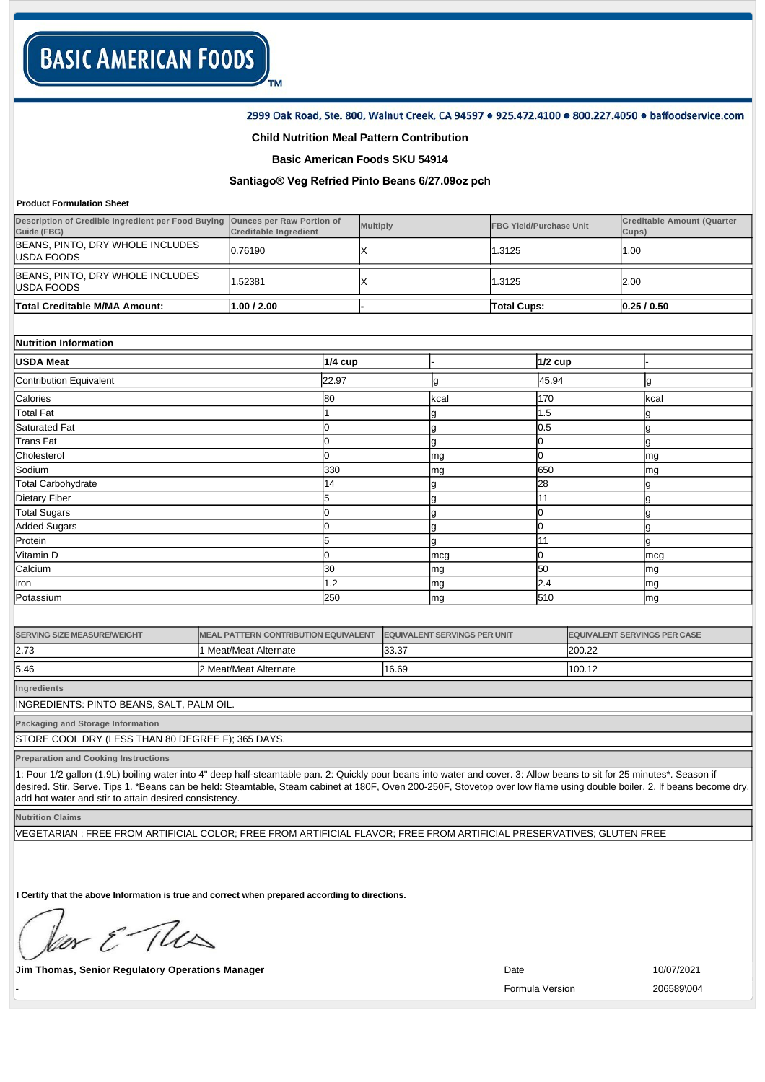### 2999 Oak Road, Ste. 800, Walnut Creek, CA 94597 . 925.472.4100 . 800.227.4050 . baffoodservice.com

## **Child Nutrition Meal Pattern Contribution**

TM

**Basic American Foods SKU 54914**

# **Santiago® Veg Refried Pinto Beans 6/27.09oz pch**

#### **Product Formulation Sheet**

| Description of Credible Ingredient per Food Buying Ounces per Raw Portion of<br>Guide (FBG) | <b>Creditable Ingredient</b> |           | <b>Multiply</b> |  |                    | <b>FBG Yield/Purchase Unit</b> | Cups)     | <b>Creditable Amount (Quarter</b> |
|---------------------------------------------------------------------------------------------|------------------------------|-----------|-----------------|--|--------------------|--------------------------------|-----------|-----------------------------------|
| BEANS, PINTO, DRY WHOLE INCLUDES<br>IUSDA FOODS                                             | 0.76190                      |           |                 |  | 1.3125             |                                | 1.00      |                                   |
| BEANS, PINTO, DRY WHOLE INCLUDES<br>IUSDA FOODS                                             | .52381                       |           |                 |  | 1.3125             |                                | 2.00      |                                   |
| Total Creditable M/MA Amount:                                                               | 1.00 / 2.00                  |           |                 |  | <b>Total Cups:</b> |                                | 0.25/0.50 |                                   |
|                                                                                             |                              |           |                 |  |                    |                                |           |                                   |
| Nutrition Information                                                                       |                              |           |                 |  |                    |                                |           |                                   |
| <b>IUSDA Meat</b>                                                                           |                              | $1/4$ cup |                 |  |                    | $1/2$ cup                      |           |                                   |
| Contribution Equivalent                                                                     |                              | 22.97     |                 |  |                    | 45.94                          |           |                                   |
|                                                                                             |                              |           |                 |  |                    |                                |           |                                   |

| Calories           | 80  | kcal | 170 | kcal |
|--------------------|-----|------|-----|------|
| Total Fat          |     | м    | 1.5 |      |
| Saturated Fat      |     |      | 0.5 |      |
| Trans Fat          |     |      |     |      |
| Cholesterol        |     | mg   |     | mg   |
| Sodium             | 330 | mg   | 650 | mg   |
| Total Carbohydrate | 14  | ч    | 28  |      |
| Dietary Fiber      | 5   |      | 11  |      |
| Total Sugars       |     |      |     |      |
| Added Sugars       |     |      |     |      |
| Protein            | 5   |      |     |      |
| Vitamin D          |     | mcg  |     | mcg  |
| Calcium            | 30  | mg   | 50  | mg   |
| Iron               | 1.2 | mg   | 2.4 | mg   |
| Potassium          | 250 | mg   | 510 | mg   |

| <b>SERVING SIZE MEASURE/WEIGHT</b> | MEAL PATTERN CONTRIBUTION EQUIVALENT | <b>EQUIVALENT SERVINGS PER UNIT</b> | <b>EQUIVALENT SERVINGS PER CASE</b> |
|------------------------------------|--------------------------------------|-------------------------------------|-------------------------------------|
| 12.73                              | 1 Meat/Meat Alternate                | 33.37                               | 200.22                              |
| 15.46                              | 2 Meat/Meat Alternate                | 16.69                               | 100.12                              |

**Ingredients**

INGREDIENTS: PINTO BEANS, SALT, PALM OIL.

**Packaging and Storage Information**

STORE COOL DRY (LESS THAN 80 DEGREE F); 365 DAYS.

**Preparation and Cooking Instructions**

1: Pour 1/2 gallon (1.9L) boiling water into 4" deep half-steamtable pan. 2: Quickly pour beans into water and cover. 3: Allow beans to sit for 25 minutes\*. Season if desired. Stir, Serve. Tips 1. \*Beans can be held: Steamtable, Steam cabinet at 180F, Oven 200-250F, Stovetop over low flame using double boiler. 2. If beans become dry add hot water and stir to attain desired consistency.

**Nutrition Claims**

VEGETARIAN ; FREE FROM ARTIFICIAL COLOR; FREE FROM ARTIFICIAL FLAVOR; FREE FROM ARTIFICIAL PRESERVATIVES; GLUTEN FREE

**I Certify that the above Information is true and correct when prepared according to directions.** 

or & The

**Jim Thomas, Senior Regulatory Operations Manager 10/07/2021 Date** 10/07/2021

- Formula Version 206589\004